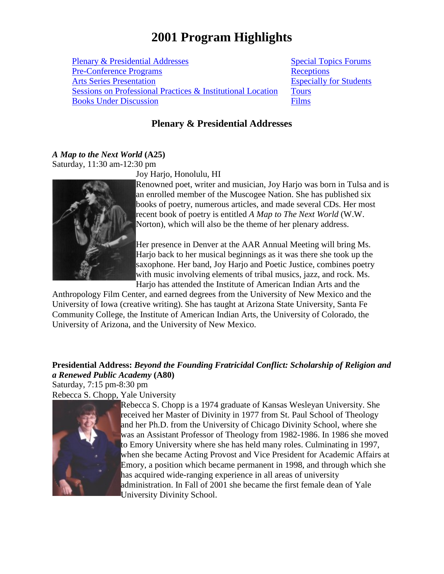# **2001 Program Highlights**

Plenary & [Presidential](#page-0-0) Addresses [Pre-Conference](#page-6-0) Programs Arts Series [Presentation](#page-7-0) [Sessions on Professional](#page-12-0) Practices & Institutional Location [Books Under Discussion](#page-13-0)

 [Special](#page-1-0) Topics Forums **[Receptions](#page-14-0)** [Especially](#page-16-0) for Students **[Tours](#page-7-1)** [Films](#page-9-0)

## **Plenary & Presidential Addresses**

# <span id="page-0-0"></span>*A Map to the Next World* **(A25)**

Saturday, 11:30 am-12:30 pm



Joy Harjo, Honolulu, HI

Renowned poet, writer and musician, Joy Harjo was born in Tulsa and is an enrolled member of the Muscogee Nation. She has published six books of poetry, numerous articles, and made several CDs. Her most recent book of poetry is entitled *A Map to The Next World* (W.W. Norton), which will also be the theme of her plenary address.

Her presence in Denver at the AAR Annual Meeting will bring Ms. Harjo back to her musical beginnings as it was there she took up the saxophone. Her band, Joy Harjo and Poetic Justice, combines poetry with music involving elements of tribal musics, jazz, and rock. Ms. Harjo has attended the Institute of American Indian Arts and the

Anthropology Film Center, and earned degrees from the University of New Mexico and the University of Iowa (creative writing). She has taught at Arizona State University, Santa Fe Community College, the Institute of American Indian Arts, the University of Colorado, the University of Arizona, and the University of New Mexico.

## **Presidential Address:** *Beyond the Founding Fratricidal Conflict: Scholarship of Religion and a Renewed Public Academy* **(A80)**

Saturday, 7:15 pm-8:30 pm Rebecca S. Chopp, Yale University



Rebecca S. Chopp is a 1974 graduate of Kansas Wesleyan University. She received her Master of Divinity in 1977 from St. Paul School of Theology and her Ph.D. from the University of Chicago Divinity School, where she was an Assistant Professor of Theology from 1982-1986. In 1986 she moved to Emory University where she has held many roles. Culminating in 1997, when she became Acting Provost and Vice President for Academic Affairs at Emory, a position which became permanent in 1998, and through which she has acquired wide-ranging experience in all areas of university administration. In Fall of 2001 she became the first female dean of Yale University Divinity School.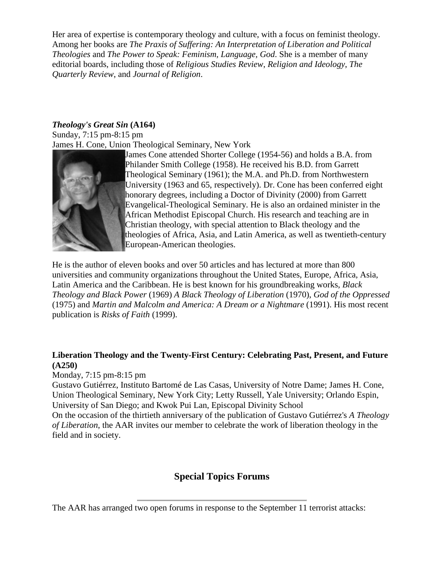Her area of expertise is contemporary theology and culture, with a focus on feminist theology. Among her books are *The Praxis of Suffering: An Interpretation of Liberation and Political Theologies* and *The Power to Speak: Feminism, Language, God*. She is a member of many editorial boards, including those of *Religious Studies Review*, *Religion and Ideology*, *The Quarterly Review*, and *Journal of Religion*.

## *Theology's Great Sin* **(A164)**

Sunday, 7:15 pm-8:15 pm James H. Cone, Union Theological Seminary, New York



James Cone attended Shorter College (1954-56) and holds a B.A. from Philander Smith College (1958). He received his B.D. from Garrett Theological Seminary (1961); the M.A. and Ph.D. from Northwestern University (1963 and 65, respectively). Dr. Cone has been conferred eight honorary degrees, including a Doctor of Divinity (2000) from Garrett Evangelical-Theological Seminary. He is also an ordained minister in the African Methodist Episcopal Church. His research and teaching are in Christian theology, with special attention to Black theology and the theologies of Africa, Asia, and Latin America, as well as twentieth-century European-American theologies.

He is the author of eleven books and over 50 articles and has lectured at more than 800 universities and community organizations throughout the United States, Europe, Africa, Asia, Latin America and the Caribbean. He is best known for his groundbreaking works, *Black Theology and Black Power* (1969) *A Black Theology of Liberation* (1970), *God of the Oppressed* (1975) and *Martin and Malcolm and America: A Dream or a Nightmare* (1991). His most recent publication is *Risks of Faith* (1999).

## **Liberation Theology and the Twenty-First Century: Celebrating Past, Present, and Future (A250)**

Monday, 7:15 pm-8:15 pm

Gustavo Gutiérrez, Instituto Bartomé de Las Casas, University of Notre Dame; James H. Cone, Union Theological Seminary, New York City; Letty Russell, Yale University; Orlando Espin, University of San Diego; and Kwok Pui Lan, Episcopal Divinity School

On the occasion of the thirtieth anniversary of the publication of Gustavo Gutiérrez's *A Theology of Liberation*, the AAR invites our member to celebrate the work of liberation theology in the field and in society.

# **Special Topics Forums**

<span id="page-1-0"></span>The AAR has arranged two open forums in response to the September 11 terrorist attacks: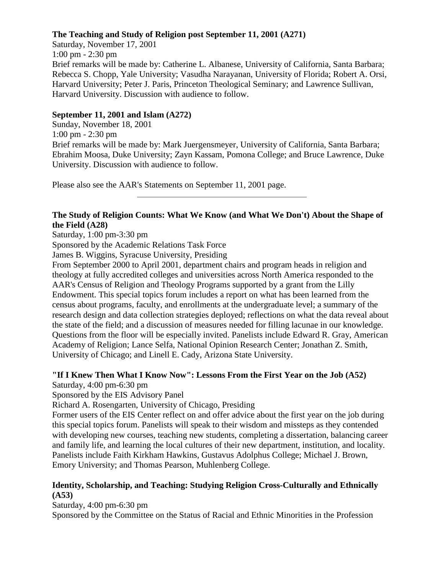#### **The Teaching and Study of Religion post September 11, 2001 (A271)**

Saturday, November 17, 2001 1:00 pm - 2:30 pm Brief remarks will be made by: Catherine L. Albanese, University of California, Santa Barbara; Rebecca S. Chopp, Yale University; Vasudha Narayanan, University of Florida; Robert A. Orsi, Harvard University; Peter J. Paris, Princeton Theological Seminary; and Lawrence Sullivan, Harvard University. Discussion with audience to follow.

### **September 11, 2001 and Islam (A272)**

Sunday, November 18, 2001 1:00 pm - 2:30 pm Brief remarks will be made by: Mark Juergensmeyer, University of California, Santa Barbara; Ebrahim Moosa, Duke University; Zayn Kassam, Pomona College; and Bruce Lawrence, Duke University. Discussion with audience to follow.

Please also see the AAR's Statements on September 11, 2001 page.

#### **The Study of Religion Counts: What We Know (and What We Don't) About the Shape of the Field (A28)**

Saturday, 1:00 pm-3:30 pm

Sponsored by the Academic Relations Task Force

James B. Wiggins, Syracuse University, Presiding

From September 2000 to April 2001, department chairs and program heads in religion and theology at fully accredited colleges and universities across North America responded to the AAR's Census of Religion and Theology Programs supported by a grant from the Lilly Endowment. This special topics forum includes a report on what has been learned from the census about programs, faculty, and enrollments at the undergraduate level; a summary of the research design and data collection strategies deployed; reflections on what the data reveal about the state of the field; and a discussion of measures needed for filling lacunae in our knowledge. Questions from the floor will be especially invited. Panelists include Edward R. Gray, American Academy of Religion; Lance Selfa, National Opinion Research Center; Jonathan Z. Smith, University of Chicago; and Linell E. Cady, Arizona State University.

# **"If I Knew Then What I Know Now": Lessons From the First Year on the Job (A52)**

Saturday, 4:00 pm-6:30 pm

Sponsored by the EIS Advisory Panel

Richard A. Rosengarten, University of Chicago, Presiding

Former users of the EIS Center reflect on and offer advice about the first year on the job during this special topics forum. Panelists will speak to their wisdom and missteps as they contended with developing new courses, teaching new students, completing a dissertation, balancing career and family life, and learning the local cultures of their new department, institution, and locality. Panelists include Faith Kirkham Hawkins, Gustavus Adolphus College; Michael J. Brown, Emory University; and Thomas Pearson, Muhlenberg College.

## **Identity, Scholarship, and Teaching: Studying Religion Cross-Culturally and Ethnically (A53)**

Saturday, 4:00 pm-6:30 pm

Sponsored by the Committee on the Status of Racial and Ethnic Minorities in the Profession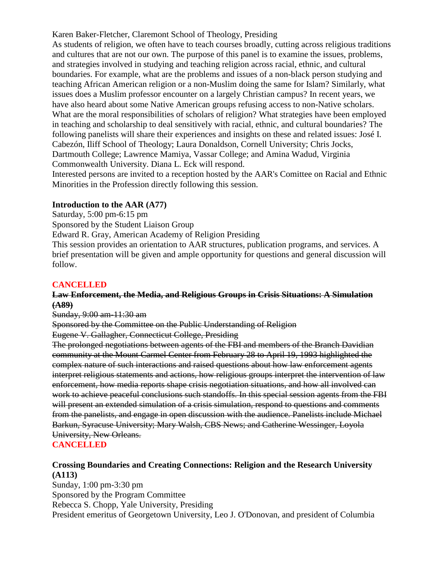Karen Baker-Fletcher, Claremont School of Theology, Presiding

As students of religion, we often have to teach courses broadly, cutting across religious traditions and cultures that are not our own. The purpose of this panel is to examine the issues, problems, and strategies involved in studying and teaching religion across racial, ethnic, and cultural boundaries. For example, what are the problems and issues of a non-black person studying and teaching African American religion or a non-Muslim doing the same for Islam? Similarly, what issues does a Muslim professor encounter on a largely Christian campus? In recent years, we have also heard about some Native American groups refusing access to non-Native scholars. What are the moral responsibilities of scholars of religion? What strategies have been employed in teaching and scholarship to deal sensitively with racial, ethnic, and cultural boundaries? The following panelists will share their experiences and insights on these and related issues: José I. Cabezón, Iliff School of Theology; Laura Donaldson, Cornell University; Chris Jocks, Dartmouth College; Lawrence Mamiya, Vassar College; and Amina Wadud, Virginia Commonwealth University. Diana L. Eck will respond.

Interested persons are invited to a reception hosted by the AAR's Comittee on Racial and Ethnic Minorities in the Profession directly following this session.

#### **Introduction to the AAR (A77)**

Saturday, 5:00 pm-6:15 pm

Sponsored by the Student Liaison Group

Edward R. Gray, American Academy of Religion Presiding

This session provides an orientation to AAR structures, publication programs, and services. A brief presentation will be given and ample opportunity for questions and general discussion will follow.

## **CANCELLED**

#### **Law Enforcement, the Media, and Religious Groups in Crisis Situations: A Simulation (A89)**

Sunday, 9:00 am-11:30 am

Sponsored by the Committee on the Public Understanding of Religion

Eugene V. Gallagher, Connecticut College, Presiding

The prolonged negotiations between agents of the FBI and members of the Branch Davidian community at the Mount Carmel Center from February 28 to April 19, 1993 highlighted the complex nature of such interactions and raised questions about how law enforcement agents interpret religious statements and actions, how religious groups interpret the intervention of law enforcement, how media reports shape crisis negotiation situations, and how all involved can work to achieve peaceful conclusions such standoffs. In this special session agents from the FBI will present an extended simulation of a crisis simulation, respond to questions and comments from the panelists, and engage in open discussion with the audience. Panelists include Michael Barkun, Syracuse University; Mary Walsh, CBS News; and Catherine Wessinger, Loyola University, New Orleans.

# **CANCELLED**

## **Crossing Boundaries and Creating Connections: Religion and the Research University (A113)**

Sunday, 1:00 pm-3:30 pm Sponsored by the Program Committee Rebecca S. Chopp, Yale University, Presiding President emeritus of Georgetown University, Leo J. O'Donovan, and president of Columbia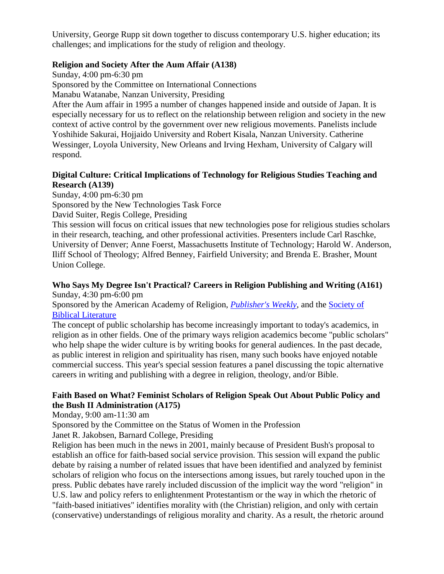University, George Rupp sit down together to discuss contemporary U.S. higher education; its challenges; and implications for the study of religion and theology.

### **Religion and Society After the Aum Affair (A138)**

Sunday, 4:00 pm-6:30 pm Sponsored by the Committee on International Connections Manabu Watanabe, Nanzan University, Presiding

After the Aum affair in 1995 a number of changes happened inside and outside of Japan. It is especially necessary for us to reflect on the relationship between religion and society in the new context of active control by the government over new religious movements. Panelists include Yoshihide Sakurai, Hojjaido University and Robert Kisala, Nanzan University. Catherine Wessinger, Loyola University, New Orleans and Irving Hexham, University of Calgary will respond.

## **Digital Culture: Critical Implications of Technology for Religious Studies Teaching and Research (A139)**

Sunday, 4:00 pm-6:30 pm

Sponsored by the New Technologies Task Force

David Suiter, Regis College, Presiding

This session will focus on critical issues that new technologies pose for religious studies scholars in their research, teaching, and other professional activities. Presenters include Carl Raschke, University of Denver; Anne Foerst, Massachusetts Institute of Technology; Harold W. Anderson, Iliff School of Theology; Alfred Benney, Fairfield University; and Brenda E. Brasher, Mount Union College.

## **Who Says My Degree Isn't Practical? Careers in Religion Publishing and Writing (A161)** Sunday, 4:30 pm-6:00 pm

Sponsored by the American Academy of Religion, *[Publisher's Weekly](http://www.publishersweekly.com/)*, and the [Society of](http://www.sbl-site.org/)  [Biblical Literature](http://www.sbl-site.org/)

The concept of public scholarship has become increasingly important to today's academics, in religion as in other fields. One of the primary ways religion academics become "public scholars" who help shape the wider culture is by writing books for general audiences. In the past decade, as public interest in religion and spirituality has risen, many such books have enjoyed notable commercial success. This year's special session features a panel discussing the topic alternative careers in writing and publishing with a degree in religion, theology, and/or Bible.

## **Faith Based on What? Feminist Scholars of Religion Speak Out About Public Policy and the Bush II Administration (A175)**

Monday, 9:00 am-11:30 am

Sponsored by the Committee on the Status of Women in the Profession

Janet R. Jakobsen, Barnard College, Presiding

Religion has been much in the news in 2001, mainly because of President Bush's proposal to establish an office for faith-based social service provision. This session will expand the public debate by raising a number of related issues that have been identified and analyzed by feminist scholars of religion who focus on the intersections among issues, but rarely touched upon in the press. Public debates have rarely included discussion of the implicit way the word "religion" in U.S. law and policy refers to enlightenment Protestantism or the way in which the rhetoric of "faith-based initiatives" identifies morality with (the Christian) religion, and only with certain (conservative) understandings of religious morality and charity. As a result, the rhetoric around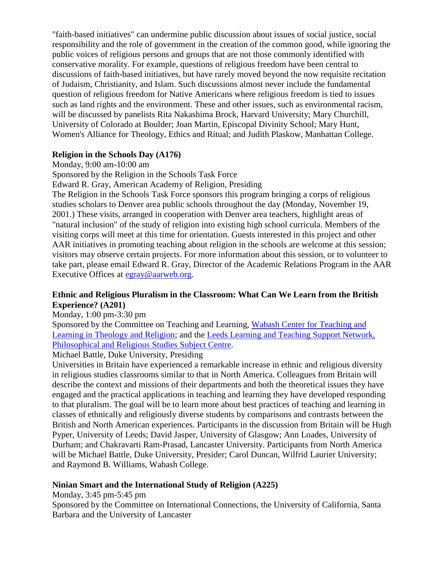"faith-based initiatives" can undermine public discussion about issues of social justice, social responsibility and the role of government in the creation of the common good, while ignoring the public voices of religious persons and groups that are not those commonly identified with conservative morality. For example, questions of religious freedom have been central to discussions of faith-based initiatives, but have rarely moved beyond the now requisite recitation of Judaism, Christianity, and Islam. Such discussions almost never include the fundamental question of religious freedom for Native Americans where religious freedom is tied to issues such as land rights and the environment. These and other issues, such as environmental racism, will be discussed by panelists Rita Nakashima Brock, Harvard University; Mary Churchill, University of Colorado at Boulder; Joan Martin, Episcopal Divinity School; Mary Hunt, Women's Alliance for Theology, Ethics and Ritual; and Judith Plaskow, Manhattan College.

#### **Religion in the Schools Day (A176)**

Monday, 9:00 am-10:00 am

Sponsored by the Religion in the Schools Task Force

Edward R. Gray, American Academy of Religion, Presiding

The Religion in the Schools Task Force sponsors this program bringing a corps of religious studies scholars to Denver area public schools throughout the day (Monday, November 19, 2001.) These visits, arranged in cooperation with Denver area teachers, highlight areas of "natural inclusion" of the study of religion into existing high school curricula. Members of the visiting corps will meet at this time for orientation. Guests interested in this project and other AAR initiatives in promoting teaching about religion in the schools are welcome at this session; visitors may observe certain projects. For more information about this session, or to volunteer to take part, please email Edward R. Gray, Director of the Academic Relations Program in the AAR Executive Offices at [egray@aarweb.org.](mailto:egray@aarweb.org)

#### **Ethnic and Religious Pluralism in the Classroom: What Can We Learn from the British Experience? (A201)**

Monday, 1:00 pm-3:30 pm

Sponsored by the Committee on Teaching and Learning, [Wabash Center for Teaching and](http://www.wabashcenter.wabash.edu/)  [Learning in Theology and Religion;](http://www.wabashcenter.wabash.edu/) and the [Leeds Learning and Teaching Support Network,](http://www.prs-ltsn.leeds.ac.uk/)  [Philosophical and Religious Studies Subject Centre.](http://www.prs-ltsn.leeds.ac.uk/)

Michael Battle, Duke University, Presiding

Universities in Britain have experienced a remarkable increase in ethnic and religious diversity in religious studies classrooms similar to that in North America. Colleagues from Britain will describe the context and missions of their departments and both the theoretical issues they have engaged and the practical applications in teaching and learning they have developed responding to that pluralism. The goal will be to learn more about best practices of teaching and learning in classes of ethnically and religiously diverse students by comparisons and contrasts between the British and North American experiences. Participants in the discussion from Britain will be Hugh Pyper, University of Leeds; David Jasper, University of Glasgow; Ann Loades, University of Durham; and Chakravarti Ram-Prasad, Lancaster University. Participants from North America will be Michael Battle, Duke University, Presider; Carol Duncan, Wilfrid Laurier University; and Raymond B. Williams, Wabash College.

#### **Ninian Smart and the International Study of Religion (A225)**

Monday, 3:45 pm-5:45 pm

Sponsored by the Committee on International Connections, the University of California, Santa Barbara and the University of Lancaster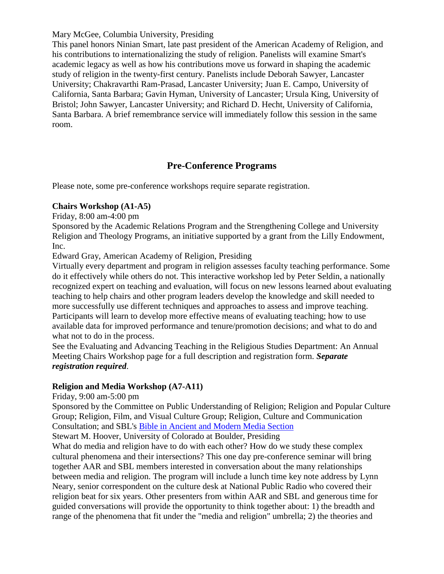Mary McGee, Columbia University, Presiding

This panel honors Ninian Smart, late past president of the American Academy of Religion, and his contributions to internationalizing the study of religion. Panelists will examine Smart's academic legacy as well as how his contributions move us forward in shaping the academic study of religion in the twenty-first century. Panelists include Deborah Sawyer, Lancaster University; Chakravarthi Ram-Prasad, Lancaster University; Juan E. Campo, University of California, Santa Barbara; Gavin Hyman, University of Lancaster; Ursula King, University of Bristol; John Sawyer, Lancaster University; and Richard D. Hecht, University of California, Santa Barbara. A brief remembrance service will immediately follow this session in the same room.

# **Pre-Conference Programs**

<span id="page-6-0"></span>Please note, some pre-conference workshops require separate registration.

#### **Chairs Workshop (A1-A5)**

Friday, 8:00 am-4:00 pm

Sponsored by the Academic Relations Program and the Strengthening College and University Religion and Theology Programs, an initiative supported by a grant from the Lilly Endowment, Inc.

Edward Gray, American Academy of Religion, Presiding

Virtually every department and program in religion assesses faculty teaching performance. Some do it effectively while others do not. This interactive workshop led by Peter Seldin, a nationally recognized expert on teaching and evaluation, will focus on new lessons learned about evaluating teaching to help chairs and other program leaders develop the knowledge and skill needed to more successfully use different techniques and approaches to assess and improve teaching. Participants will learn to develop more effective means of evaluating teaching; how to use available data for improved performance and tenure/promotion decisions; and what to do and what not to do in the process.

See the Evaluating and Advancing Teaching in the Religious Studies Department: An Annual Meeting Chairs Workshop page for a full description and registration form. *Separate registration required*.

## **Religion and Media Workshop (A7-A11)**

Friday, 9:00 am-5:00 pm

Sponsored by the Committee on Public Understanding of Religion; Religion and Popular Culture Group; Religion, Film, and Visual Culture Group; Religion, Culture and Communication Consultation; and SBL's Bible in Ancient [and Modern Media Section](http://www.sbl-site.org/Congresses/AM/ProgramUnits/programunit-pages.html)

Stewart M. Hoover, University of Colorado at Boulder, Presiding

What do media and religion have to do with each other? How do we study these complex cultural phenomena and their intersections? This one day pre-conference seminar will bring together AAR and SBL members interested in conversation about the many relationships between media and religion. The program will include a lunch time key note address by Lynn Neary, senior correspondent on the culture desk at National Public Radio who covered their religion beat for six years. Other presenters from within AAR and SBL and generous time for guided conversations will provide the opportunity to think together about: 1) the breadth and range of the phenomena that fit under the "media and religion" umbrella; 2) the theories and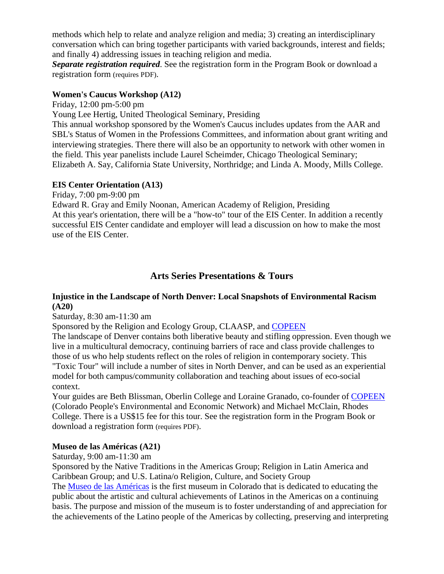methods which help to relate and analyze religion and media; 3) creating an interdisciplinary conversation which can bring together participants with varied backgrounds, interest and fields; and finally 4) addressing issues in teaching religion and media.

*Separate registration required*. See the registration form in the Program Book or download a registration form (requires PDF).

#### **Women's Caucus Workshop (A12)**

Friday, 12:00 pm-5:00 pm

Young Lee Hertig, United Theological Seminary, Presiding

This annual workshop sponsored by the Women's Caucus includes updates from the AAR and SBL's Status of Women in the Professions Committees, and information about grant writing and interviewing strategies. There there will also be an opportunity to network with other women in the field. This year panelists include Laurel Scheimder, Chicago Theological Seminary; Elizabeth A. Say, California State University, Northridge; and Linda A. Moody, Mills College.

#### **EIS Center Orientation (A13)**

Friday, 7:00 pm-9:00 pm

Edward R. Gray and Emily Noonan, American Academy of Religion, Presiding At this year's orientation, there will be a "how-to" tour of the EIS Center. In addition a recently successful EIS Center candidate and employer will lead a discussion on how to make the most use of the EIS Center.

# <span id="page-7-1"></span>**Arts Series Presentations & Tours**

## <span id="page-7-0"></span>**Injustice in the Landscape of North Denver: Local Snapshots of Environmental Racism (A20)**

#### Saturday, 8:30 am-11:30 am

Sponsored by the Religion and Ecology Group, CLAASP, and [COPEEN](http://www.copeen.org/)

The landscape of Denver contains both liberative beauty and stifling oppression. Even though we live in a multicultural democracy, continuing barriers of race and class provide challenges to those of us who help students reflect on the roles of religion in contemporary society. This "Toxic Tour" will include a number of sites in North Denver, and can be used as an experiential model for both campus/community collaboration and teaching about issues of eco-social context.

Your guides are Beth Blissman, Oberlin College and Loraine Granado, co-founder of [COPEEN](http://www.copeen.org/) (Colorado People's Environmental and Economic Network) and Michael McClain, Rhodes College. There is a US\$15 fee for this tour. See the registration form in the Program Book or download a registration form (requires PDF).

## **Museo de las Américas (A21)**

Saturday, 9:00 am-11:30 am

Sponsored by the Native Traditions in the Americas Group; Religion in Latin America and Caribbean Group; and U.S. Latina/o Religion, Culture, and Society Group

The [Museo de las Américas](http://www.museo.org/) is the first museum in Colorado that is dedicated to educating the public about the artistic and cultural achievements of Latinos in the Americas on a continuing basis. The purpose and mission of the museum is to foster understanding of and appreciation for the achievements of the Latino people of the Americas by collecting, preserving and interpreting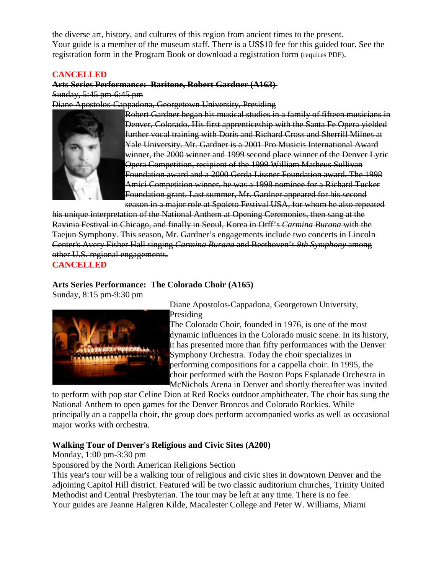the diverse art, history, and cultures of this region from ancient times to the present. Your guide is a member of the museum staff. There is a US\$10 fee for this guided tour. See the registration form in the Program Book or download a registration form (requires PDF).

#### **CANCELLED**

# **Arts Series Performance: Baritone, Robert Gardner (A163)**

Sunday, 5:45 pm-6:45 pm

Diane Apostolos-Cappadona, Georgetown University, Presiding



Robert Gardner began his musical studies in a family of fifteen musicians in Denver, Colorado. His first apprenticeship with the Santa Fe Opera yielded further vocal training with Doris and Richard Cross and Sherrill Milnes at Yale University. Mr. Gardner is a 2001 Pro Musicis International Award winner, the 2000 winner and 1999 second place winner of the Denver Lyric Opera Competition, recipient of the 1999 William Matheus Sullivan Foundation award and a 2000 Gerda Lissner Foundation award. The 1998 Amici Competition winner, he was a 1998 nominee for a Richard Tucker Foundation grant. Last summer, Mr. Gardner appeared for his second season in a major role at Spoleto Festival USA, for whom he also repeated

his unique interpretation of the National Anthem at Opening Ceremonies, then sang at the Ravinia Festival in Chicago, and finally in Seoul, Korea in Orff's *Carmina Burana* with the Taejun Symphony. This season, Mr. Gardner's engagements include two concerts in Lincoln Center's Avery Fisher Hall singing *Carmina Burana* and Beethoven's *9th Symphony* among other U.S. regional engagements.

**CANCELLED**

## **Arts Series Performance: The Colorado Choir (A165)**

Sunday, 8:15 pm-9:30 pm



Diane Apostolos-Cappadona, Georgetown University, Presiding

The Colorado Choir, founded in 1976, is one of the most dynamic influences in the Colorado music scene. In its history, it has presented more than fifty performances with the Denver Symphony Orchestra. Today the choir specializes in performing compositions for a cappella choir. In 1995, the choir performed with the Boston Pops Esplanade Orchestra in McNichols Arena in Denver and shortly thereafter was invited

to perform with pop star Celine Dion at Red Rocks outdoor amphitheater. The choir has sung the National Anthem to open games for the Denver Broncos and Colorado Rockies. While principally an a cappella choir, the group does perform accompanied works as well as occasional major works with orchestra.

## **Walking Tour of Denver's Religious and Civic Sites (A200)**

Monday, 1:00 pm-3:30 pm

Sponsored by the North American Religions Section

This year's tour will be a walking tour of religious and civic sites in downtown Denver and the adjoining Capitol Hill district. Featured will be two classic auditorium churches, Trinity United Methodist and Central Presbyterian. The tour may be left at any time. There is no fee. Your guides are Jeanne Halgren Kilde, Macalester College and Peter W. Williams, Miami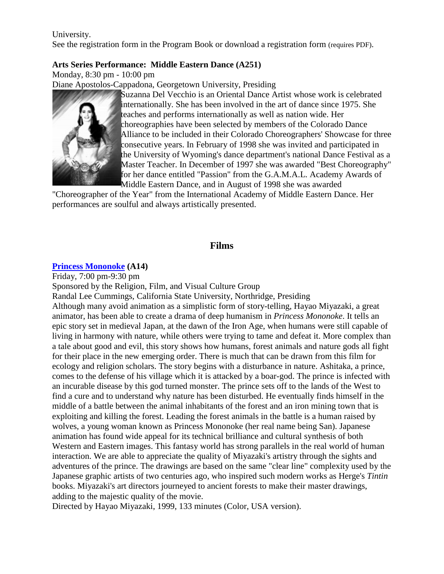#### University.

See the registration form in the Program Book or download a registration form (requires PDF).

#### **Arts Series Performance: Middle Eastern Dance (A251)**

Monday, 8:30 pm - 10:00 pm

Diane Apostolos-Cappadona, Georgetown University, Presiding



Suzanna Del Vecchio is an Oriental Dance Artist whose work is celebrated internationally. She has been involved in the art of dance since 1975. She teaches and performs internationally as well as nation wide. Her choreographies have been selected by members of the Colorado Dance Alliance to be included in their Colorado Choreographers' Showcase for three consecutive years. In February of 1998 she was invited and participated in the University of Wyoming's dance department's national Dance Festival as a Master Teacher. In December of 1997 she was awarded "Best Choreography" for her dance entitled "Passion" from the G.A.M.A.L. Academy Awards of Middle Eastern Dance, and in August of 1998 she was awarded

"Choreographer of the Year" from the International Academy of Middle Eastern Dance. Her performances are soulful and always artistically presented.

#### **Films**

#### <span id="page-9-0"></span>**[Princess Mononoke](http://www.princessmononoke.com/) (A14)**

Friday, 7:00 pm-9:30 pm Sponsored by the Religion, Film, and Visual Culture Group Randal Lee Cummings, California State University, Northridge, Presiding Although many avoid animation as a simplistic form of story-telling, Hayao Miyazaki, a great animator, has been able to create a drama of deep humanism in *Princess Mononoke*. It tells an epic story set in medieval Japan, at the dawn of the Iron Age, when humans were still capable of living in harmony with nature, while others were trying to tame and defeat it. More complex than a tale about good and evil, this story shows how humans, forest animals and nature gods all fight for their place in the new emerging order. There is much that can be drawn from this film for ecology and religion scholars. The story begins with a disturbance in nature. Ashitaka, a prince, comes to the defense of his village which it is attacked by a boar-god. The prince is infected with an incurable disease by this god turned monster. The prince sets off to the lands of the West to find a cure and to understand why nature has been disturbed. He eventually finds himself in the middle of a battle between the animal inhabitants of the forest and an iron mining town that is exploiting and killing the forest. Leading the forest animals in the battle is a human raised by wolves, a young woman known as Princess Mononoke (her real name being San). Japanese animation has found wide appeal for its technical brilliance and cultural synthesis of both Western and Eastern images. This fantasy world has strong parallels in the real world of human interaction. We are able to appreciate the quality of Miyazaki's artistry through the sights and adventures of the prince. The drawings are based on the same "clear line" complexity used by the Japanese graphic artists of two centuries ago, who inspired such modern works as Herge's *Tintin* books. Miyazaki's art directors journeyed to ancient forests to make their master drawings, adding to the majestic quality of the movie.

Directed by Hayao Miyazaki, 1999, 133 minutes (Color, USA version).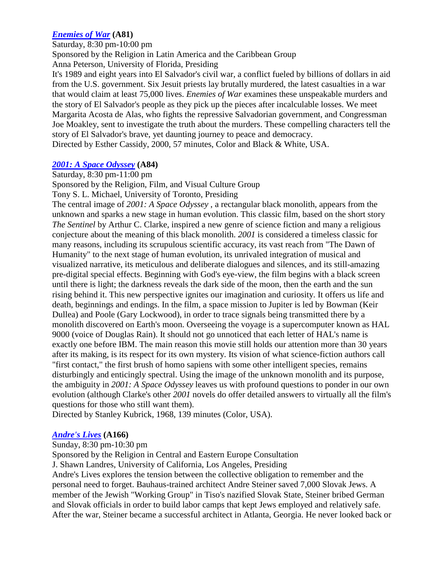## *[Enemies of War](http://www.newday.com/films/Enemiesofwar.html)* **(A81)**

Saturday, 8:30 pm-10:00 pm

Sponsored by the Religion in Latin America and the Caribbean Group Anna Peterson, University of Florida, Presiding

It's 1989 and eight years into El Salvador's civil war, a conflict fueled by billions of dollars in aid from the U.S. government. Six Jesuit priests lay brutally murdered, the latest casualties in a war that would claim at least 75,000 lives. *Enemies of War* examines these unspeakable murders and the story of El Salvador's people as they pick up the pieces after incalculable losses. We meet Margarita Acosta de Alas, who fights the repressive Salvadorian government, and Congressman Joe Moakley, sent to investigate the truth about the murders. These compelling characters tell the story of El Salvador's brave, yet daunting journey to peace and democracy. Directed by Esther Cassidy, 2000, 57 minutes, Color and Black & White, USA.

## *[2001: A Space Odyssey](http://www.palantir.net/2001/)* **(A84)**

Saturday, 8:30 pm-11:00 pm

Sponsored by the Religion, Film, and Visual Culture Group

Tony S. L. Michael, University of Toronto, Presiding

The central image of *2001: A Space Odyssey* , a rectangular black monolith, appears from the unknown and sparks a new stage in human evolution. This classic film, based on the short story *The Sentinel* by Arthur C. Clarke, inspired a new genre of science fiction and many a religious conjecture about the meaning of this black monolith. *2001* is considered a timeless classic for many reasons, including its scrupulous scientific accuracy, its vast reach from "The Dawn of Humanity" to the next stage of human evolution, its unrivaled integration of musical and visualized narrative, its meticulous and deliberate dialogues and silences, and its still-amazing pre-digital special effects. Beginning with God's eye-view, the film begins with a black screen until there is light; the darkness reveals the dark side of the moon, then the earth and the sun rising behind it. This new perspective ignites our imagination and curiosity. It offers us life and death, beginnings and endings. In the film, a space mission to Jupiter is led by Bowman (Keir Dullea) and Poole (Gary Lockwood), in order to trace signals being transmitted there by a monolith discovered on Earth's moon. Overseeing the voyage is a supercomputer known as HAL 9000 (voice of Douglas Rain). It should not go unnoticed that each letter of HAL's name is exactly one before IBM. The main reason this movie still holds our attention more than 30 years after its making, is its respect for its own mystery. Its vision of what science-fiction authors call "first contact," the first brush of homo sapiens with some other intelligent species, remains disturbingly and enticingly spectral. Using the image of the unknown monolith and its purpose, the ambiguity in *2001: A Space Odyssey* leaves us with profound questions to ponder in our own evolution (although Clarke's other *2001* novels do offer detailed answers to virtually all the film's questions for those who still want them).

Directed by Stanley Kubrick, 1968, 139 minutes (Color, USA).

## *[Andre's Lives](http://www.jewishculture.org/film/andre.htm)* **(A166)**

Sunday, 8:30 pm-10:30 pm

Sponsored by the Religion in Central and Eastern Europe Consultation

J. Shawn Landres, University of California, Los Angeles, Presiding

Andre's Lives explores the tension between the collective obligation to remember and the personal need to forget. Bauhaus-trained architect Andre Steiner saved 7,000 Slovak Jews. A member of the Jewish "Working Group" in Tiso's nazified Slovak State, Steiner bribed German and Slovak officials in order to build labor camps that kept Jews employed and relatively safe. After the war, Steiner became a successful architect in Atlanta, Georgia. He never looked back or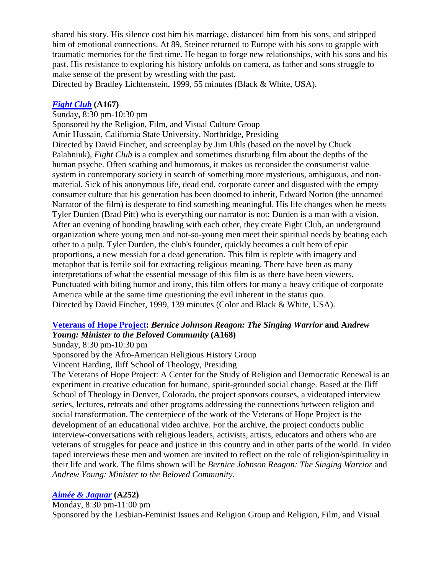shared his story. His silence cost him his marriage, distanced him from his sons, and stripped him of emotional connections. At 89, Steiner returned to Europe with his sons to grapple with traumatic memories for the first time. He began to forge new relationships, with his sons and his past. His resistance to exploring his history unfolds on camera, as father and sons struggle to make sense of the present by wrestling with the past.

Directed by Bradley Lichtenstein, 1999, 55 minutes (Black & White, USA).

### *[Fight Club](http://www.foxmovies.com/fightclub/)* **(A167)**

Sunday, 8:30 pm-10:30 pm

Sponsored by the Religion, Film, and Visual Culture Group Amir Hussain, California State University, Northridge, Presiding Directed by David Fincher, and screenplay by Jim Uhls (based on the novel by Chuck Palahniuk), *Fight Club* is a complex and sometimes disturbing film about the depths of the human psyche. Often scathing and humorous, it makes us reconsider the consumerist value system in contemporary society in search of something more mysterious, ambiguous, and nonmaterial. Sick of his anonymous life, dead end, corporate career and disgusted with the empty consumer culture that his generation has been doomed to inherit, Edward Norton (the unnamed Narrator of the film) is desperate to find something meaningful. His life changes when he meets Tyler Durden (Brad Pitt) who is everything our narrator is not: Durden is a man with a vision. After an evening of bonding brawling with each other, they create Fight Club, an underground organization where young men and not-so-young men meet their spiritual needs by beating each other to a pulp. Tyler Durden, the club's founder, quickly becomes a cult hero of epic proportions, a new messiah for a dead generation. This film is replete with imagery and metaphor that is fertile soil for extracting religious meaning. There have been as many interpretations of what the essential message of this film is as there have been viewers. Punctuated with biting humor and irony, this film offers for many a heavy critique of corporate America while at the same time questioning the evil inherent in the status quo. Directed by David Fincher, 1999, 139 minutes (Color and Black & White, USA).

## **[Veterans of Hope Project:](http://www.iliff.edu/about_iliff/special_veterans.htm)** *Bernice Johnson Reagon: The Singing Warrior* **and A***ndrew Young: Minister to the Beloved Community* **(A168)**

Sunday, 8:30 pm-10:30 pm

Sponsored by the Afro-American Religious History Group

Vincent Harding, Iliff School of Theology, Presiding

The Veterans of Hope Project: A Center for the Study of Religion and Democratic Renewal is an experiment in creative education for humane, spirit-grounded social change. Based at the Iliff School of Theology in Denver, Colorado, the project sponsors courses, a videotaped interview series, lectures, retreats and other programs addressing the connections between religion and social transformation. The centerpiece of the work of the Veterans of Hope Project is the development of an educational video archive. For the archive, the project conducts public interview-conversations with religious leaders, activists, artists, educators and others who are veterans of struggles for peace and justice in this country and in other parts of the world. In video taped interviews these men and women are invited to reflect on the role of religion/spirituality in their life and work. The films shown will be *Bernice Johnson Reagon: The Singing Warrior* and *Andrew Young: Minister to the Beloved Community*.

# *[Aimée & Jaguar](http://www.senatorfilm.de/Aimee/index.html)* **(A252)**

Monday, 8:30 pm-11:00 pm

Sponsored by the Lesbian-Feminist Issues and Religion Group and Religion, Film, and Visual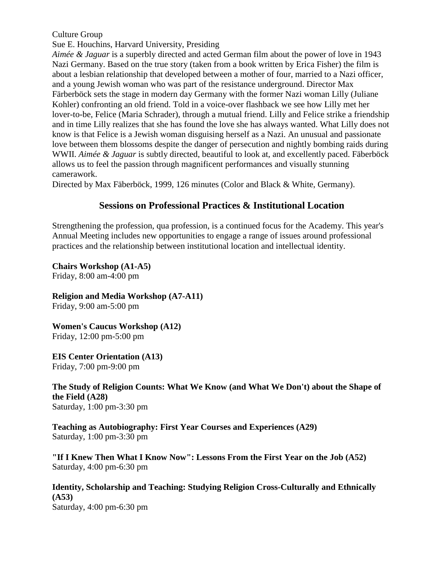Culture Group

Sue E. Houchins, Harvard University, Presiding

*Aimée & Jaguar* is a superbly directed and acted German film about the power of love in 1943 Nazi Germany. Based on the true story (taken from a book written by Erica Fisher) the film is about a lesbian relationship that developed between a mother of four, married to a Nazi officer, and a young Jewish woman who was part of the resistance underground. Director Max Färberböck sets the stage in modern day Germany with the former Nazi woman Lilly (Juliane Kohler) confronting an old friend. Told in a voice-over flashback we see how Lilly met her lover-to-be, Felice (Maria Schrader), through a mutual friend. Lilly and Felice strike a friendship and in time Lilly realizes that she has found the love she has always wanted. What Lilly does not know is that Felice is a Jewish woman disguising herself as a Nazi. An unusual and passionate love between them blossoms despite the danger of persecution and nightly bombing raids during WWII. *Aimée & Jaguar* is subtly directed, beautiful to look at, and excellently paced. Fäberböck allows us to feel the passion through magnificent performances and visually stunning camerawork.

<span id="page-12-0"></span>Directed by Max Fäberböck, 1999, 126 minutes (Color and Black & White, Germany).

# **Sessions on Professional Practices & Institutional Location**

Strengthening the profession, qua profession, is a continued focus for the Academy. This year's Annual Meeting includes new opportunities to engage a range of issues around professional practices and the relationship between institutional location and intellectual identity.

**Chairs Workshop (A1-A5)** Friday, 8:00 am-4:00 pm

**Religion and Media Workshop (A7-A11)**

Friday, 9:00 am-5:00 pm

**Women's Caucus Workshop (A12)** Friday, 12:00 pm-5:00 pm

**EIS Center Orientation (A13)** Friday, 7:00 pm-9:00 pm

**The Study of Religion Counts: What We Know (and What We Don't) about the Shape of the Field (A28)** Saturday, 1:00 pm-3:30 pm

**Teaching as Autobiography: First Year Courses and Experiences (A29)** Saturday, 1:00 pm-3:30 pm

**"If I Knew Then What I Know Now": Lessons From the First Year on the Job (A52)** Saturday, 4:00 pm-6:30 pm

**Identity, Scholarship and Teaching: Studying Religion Cross-Culturally and Ethnically (A53)** Saturday, 4:00 pm-6:30 pm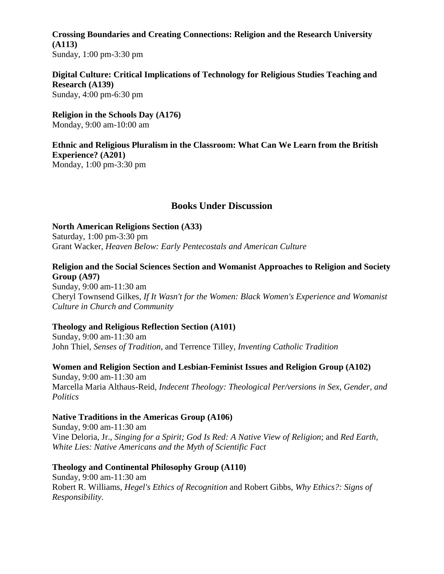**Crossing Boundaries and Creating Connections: Religion and the Research University (A113)** Sunday, 1:00 pm-3:30 pm

**Digital Culture: Critical Implications of Technology for Religious Studies Teaching and Research (A139)** Sunday, 4:00 pm-6:30 pm

**Religion in the Schools Day (A176)** Monday, 9:00 am-10:00 am

**Ethnic and Religious Pluralism in the Classroom: What Can We Learn from the British Experience? (A201)** Monday, 1:00 pm-3:30 pm

## **Books Under Discussion**

<span id="page-13-0"></span>**North American Religions Section (A33)** Saturday, 1:00 pm-3:30 pm Grant Wacker, *Heaven Below: Early Pentecostals and American Culture*

## **Religion and the Social Sciences Section and Womanist Approaches to Religion and Society Group (A97)**

Sunday, 9:00 am-11:30 am Cheryl Townsend Gilkes, *If It Wasn't for the Women: Black Women's Experience and Womanist Culture in Church and Community*

#### **Theology and Religious Reflection Section (A101)**

Sunday, 9:00 am-11:30 am John Thiel, *Senses of Tradition*, and Terrence Tilley, *Inventing Catholic Tradition*

**Women and Religion Section and Lesbian-Feminist Issues and Religion Group (A102)** Sunday, 9:00 am-11:30 am Marcella Maria Althaus-Reid, *Indecent Theology: Theological Per/versions in Sex, Gender, and Politics*

#### **Native Traditions in the Americas Group (A106)**

Sunday, 9:00 am-11:30 am Vine Deloria, Jr., *Singing for a Spirit; God Is Red: A Native View of Religion*; and *Red Earth, White Lies: Native Americans and the Myth of Scientific Fact*

#### **Theology and Continental Philosophy Group (A110)**

Sunday, 9:00 am-11:30 am Robert R. Williams, *Hegel's Ethics of Recognition* and Robert Gibbs, *Why Ethics?: Signs of Responsibility*.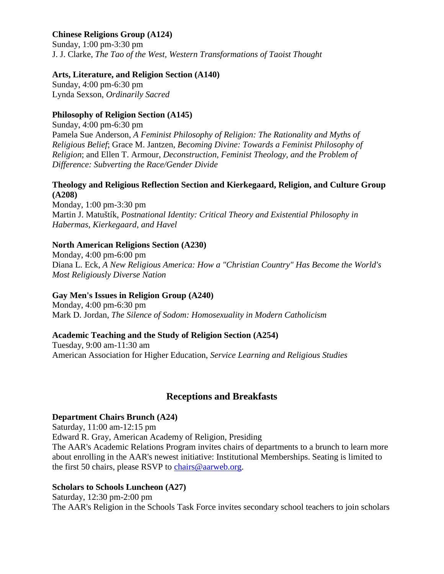## **Chinese Religions Group (A124)**

Sunday, 1:00 pm-3:30 pm J. J. Clarke, *The Tao of the West, Western Transformations of Taoist Thought*

### **Arts, Literature, and Religion Section (A140)**

Sunday, 4:00 pm-6:30 pm Lynda Sexson, *Ordinarily Sacred*

## **Philosophy of Religion Section (A145)**

Sunday, 4:00 pm-6:30 pm Pamela Sue Anderson, *A Feminist Philosophy of Religion: The Rationality and Myths of Religious Belief*; Grace M. Jantzen, *Becoming Divine: Towards a Feminist Philosophy of Religion*; and Ellen T. Armour, *Deconstruction, Feminist Theology, and the Problem of Difference: Subverting the Race/Gender Divide*

#### **Theology and Religious Reflection Section and Kierkegaard, Religion, and Culture Group (A208)**

Monday, 1:00 pm-3:30 pm Martin J. Matuštík, *Postnational Identity: Critical Theory and Existential Philosophy in Habermas, Kierkegaard, and Havel*

## **North American Religions Section (A230)**

Monday, 4:00 pm-6:00 pm Diana L. Eck, *A New Religious America: How a "Christian Country" Has Become the World's Most Religiously Diverse Nation*

## **Gay Men's Issues in Religion Group (A240)**

Monday, 4:00 pm-6:30 pm Mark D. Jordan, *The Silence of Sodom: Homosexuality in Modern Catholicism*

## **Academic Teaching and the Study of Religion Section (A254)**

Tuesday, 9:00 am-11:30 am American Association for Higher Education, *Service Learning and Religious Studies*

# **Receptions and Breakfasts**

#### <span id="page-14-0"></span>**Department Chairs Brunch (A24)**

Saturday, 11:00 am-12:15 pm Edward R. Gray, American Academy of Religion, Presiding The AAR's Academic Relations Program invites chairs of departments to a brunch to learn more about enrolling in the AAR's newest initiative: Institutional Memberships. Seating is limited to the first 50 chairs, please RSVP to [chairs@aarweb.org.](mailto:chairs@aarweb.org)

## **Scholars to Schools Luncheon (A27)**

Saturday, 12:30 pm-2:00 pm The AAR's Religion in the Schools Task Force invites secondary school teachers to join scholars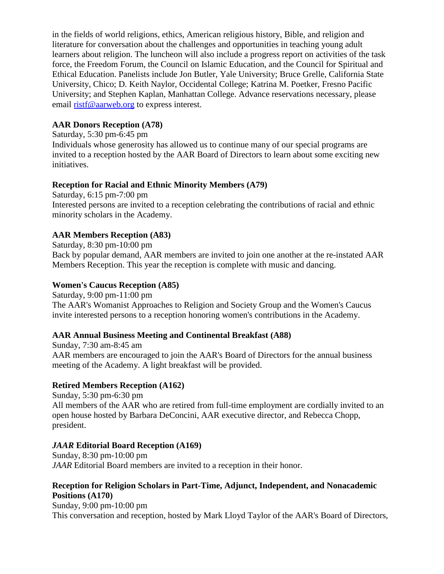in the fields of world religions, ethics, American religious history, Bible, and religion and literature for conversation about the challenges and opportunities in teaching young adult learners about religion. The luncheon will also include a progress report on activities of the task force, the Freedom Forum, the Council on Islamic Education, and the Council for Spiritual and Ethical Education. Panelists include Jon Butler, Yale University; Bruce Grelle, California State University, Chico; D. Keith Naylor, Occidental College; Katrina M. Poetker, Fresno Pacific University; and Stephen Kaplan, Manhattan College. Advance reservations necessary, please email [ristf@aarweb.org](mailto:ristf@aarweb.org) to express interest.

### **AAR Donors Reception (A78)**

Saturday, 5:30 pm-6:45 pm

Individuals whose generosity has allowed us to continue many of our special programs are invited to a reception hosted by the AAR Board of Directors to learn about some exciting new initiatives.

#### **Reception for Racial and Ethnic Minority Members (A79)**

Saturday, 6:15 pm-7:00 pm Interested persons are invited to a reception celebrating the contributions of racial and ethnic minority scholars in the Academy.

#### **AAR Members Reception (A83)**

Saturday, 8:30 pm-10:00 pm Back by popular demand, AAR members are invited to join one another at the re-instated AAR Members Reception. This year the reception is complete with music and dancing.

#### **Women's Caucus Reception (A85)**

Saturday, 9:00 pm-11:00 pm The AAR's Womanist Approaches to Religion and Society Group and the Women's Caucus invite interested persons to a reception honoring women's contributions in the Academy.

#### **AAR Annual Business Meeting and Continental Breakfast (A88)**

Sunday, 7:30 am-8:45 am AAR members are encouraged to join the AAR's Board of Directors for the annual business meeting of the Academy. A light breakfast will be provided.

#### **Retired Members Reception (A162)**

Sunday, 5:30 pm-6:30 pm All members of the AAR who are retired from full-time employment are cordially invited to an open house hosted by Barbara DeConcini, AAR executive director, and Rebecca Chopp, president.

#### *JAAR* **Editorial Board Reception (A169)**

Sunday, 8:30 pm-10:00 pm *JAAR* Editorial Board members are invited to a reception in their honor.

#### **Reception for Religion Scholars in Part-Time, Adjunct, Independent, and Nonacademic Positions (A170)**

Sunday, 9:00 pm-10:00 pm This conversation and reception, hosted by Mark Lloyd Taylor of the AAR's Board of Directors,